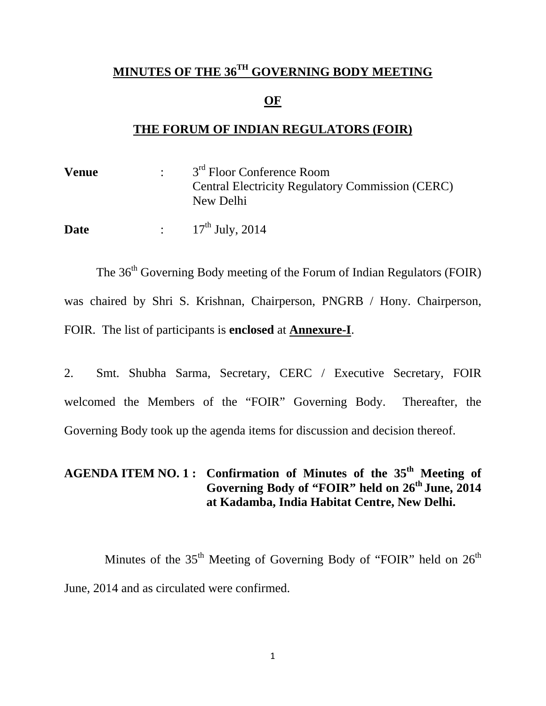## **MINUTES OF THE 36TH GOVERNING BODY MEETING**

#### **OF**

## **THE FORUM OF INDIAN REGULATORS (FOIR)**

| <b>Venue</b> | 3 <sup>rd</sup> Floor Conference Room                                |
|--------------|----------------------------------------------------------------------|
|              | <b>Central Electricity Regulatory Commission (CERC)</b><br>New Delhi |
| Date         | : $17^{th}$ July, 2014                                               |

The 36<sup>th</sup> Governing Body meeting of the Forum of Indian Regulators (FOIR) was chaired by Shri S. Krishnan, Chairperson, PNGRB / Hony. Chairperson, FOIR. The list of participants is **enclosed** at **Annexure-I**.

2. Smt. Shubha Sarma, Secretary, CERC / Executive Secretary, FOIR welcomed the Members of the "FOIR" Governing Body. Thereafter, the Governing Body took up the agenda items for discussion and decision thereof.

# **AGENDA ITEM NO. 1 : Confirmation of Minutes of the 35th Meeting of Governing Body of "FOIR" held on 26th June, 2014 at Kadamba, India Habitat Centre, New Delhi.**

Minutes of the  $35<sup>th</sup>$  Meeting of Governing Body of "FOIR" held on  $26<sup>th</sup>$ June, 2014 and as circulated were confirmed.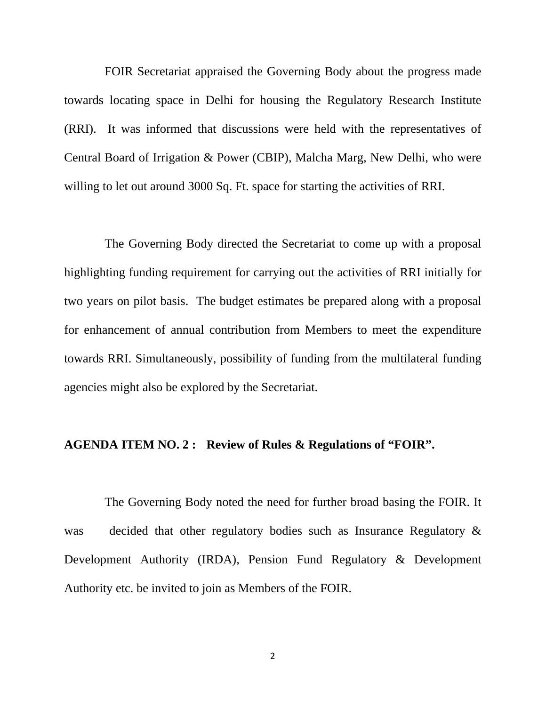FOIR Secretariat appraised the Governing Body about the progress made towards locating space in Delhi for housing the Regulatory Research Institute (RRI). It was informed that discussions were held with the representatives of Central Board of Irrigation & Power (CBIP), Malcha Marg, New Delhi, who were willing to let out around 3000 Sq. Ft. space for starting the activities of RRI.

 The Governing Body directed the Secretariat to come up with a proposal highlighting funding requirement for carrying out the activities of RRI initially for two years on pilot basis. The budget estimates be prepared along with a proposal for enhancement of annual contribution from Members to meet the expenditure towards RRI. Simultaneously, possibility of funding from the multilateral funding agencies might also be explored by the Secretariat.

#### **AGENDA ITEM NO. 2 : Review of Rules & Regulations of "FOIR".**

 The Governing Body noted the need for further broad basing the FOIR. It was decided that other regulatory bodies such as Insurance Regulatory  $\&$ Development Authority (IRDA), Pension Fund Regulatory & Development Authority etc. be invited to join as Members of the FOIR.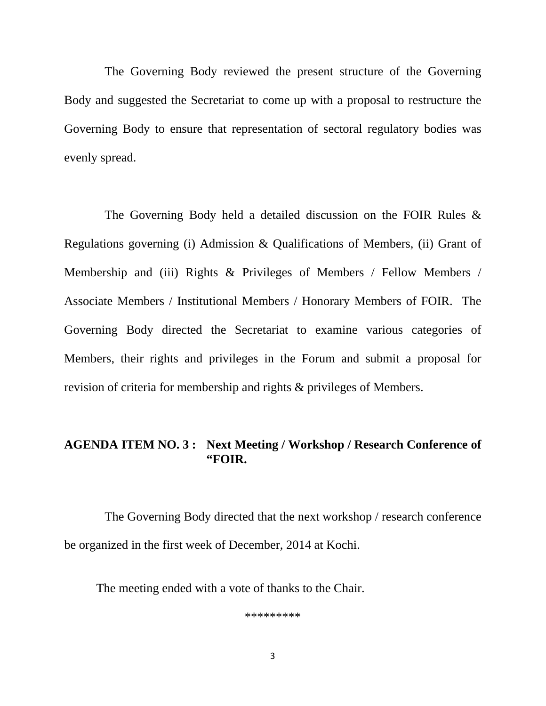The Governing Body reviewed the present structure of the Governing Body and suggested the Secretariat to come up with a proposal to restructure the Governing Body to ensure that representation of sectoral regulatory bodies was evenly spread.

 The Governing Body held a detailed discussion on the FOIR Rules & Regulations governing (i) Admission & Qualifications of Members, (ii) Grant of Membership and (iii) Rights & Privileges of Members / Fellow Members / Associate Members / Institutional Members / Honorary Members of FOIR. The Governing Body directed the Secretariat to examine various categories of Members, their rights and privileges in the Forum and submit a proposal for revision of criteria for membership and rights & privileges of Members.

#### **AGENDA ITEM NO. 3 : Next Meeting / Workshop / Research Conference of "FOIR.**

 The Governing Body directed that the next workshop / research conference be organized in the first week of December, 2014 at Kochi.

The meeting ended with a vote of thanks to the Chair.

\*\*\*\*\*\*\*\*\*